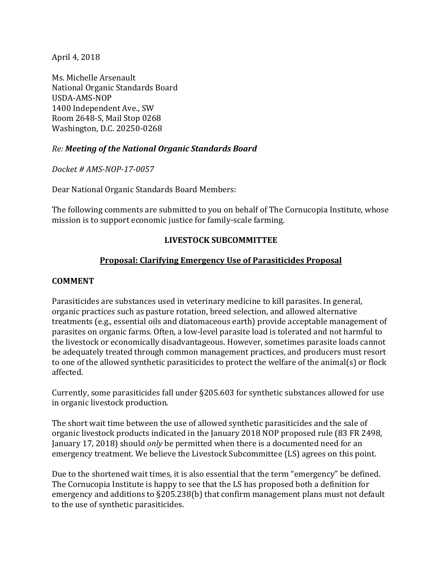April 4, 2018

Ms. Michelle Arsenault National Organic Standards Board USDA-AMS-NOP 1400 Independent Ave., SW Room 2648-S, Mail Stop 0268 Washington, D.C. 20250-0268

## *Re: Meeting of the National Organic Standards Board*

*Docket # AMS-NOP-17-0057*

Dear National Organic Standards Board Members:

The following comments are submitted to you on behalf of The Cornucopia Institute, whose mission is to support economic justice for family-scale farming.

## **LIVESTOCK SUBCOMMITTEE**

## **Proposal: Clarifying Emergency Use of Parasiticides Proposal**

## **COMMENT**

Parasiticides are substances used in veterinary medicine to kill parasites. In general, organic practices such as pasture rotation, breed selection, and allowed alternative treatments (e.g., essential oils and diatomaceous earth) provide acceptable management of parasites on organic farms. Often, a low-level parasite load is tolerated and not harmful to the livestock or economically disadvantageous. However, sometimes parasite loads cannot be adequately treated through common management practices, and producers must resort to one of the allowed synthetic parasiticides to protect the welfare of the animal(s) or flock affected.

Currently, some parasiticides fall under §205.603 for synthetic substances allowed for use in organic livestock production.

The short wait time between the use of allowed synthetic parasiticides and the sale of organic livestock products indicated in the January 2018 NOP proposed rule (83 FR 2498, January 17, 2018) should *only* be permitted when there is a documented need for an emergency treatment. We believe the Livestock Subcommittee (LS) agrees on this point.

Due to the shortened wait times, it is also essential that the term "emergency" be defined. The Cornucopia Institute is happy to see that the LS has proposed both a definition for emergency and additions to §205.238(b) that confirm management plans must not default to the use of synthetic parasiticides.